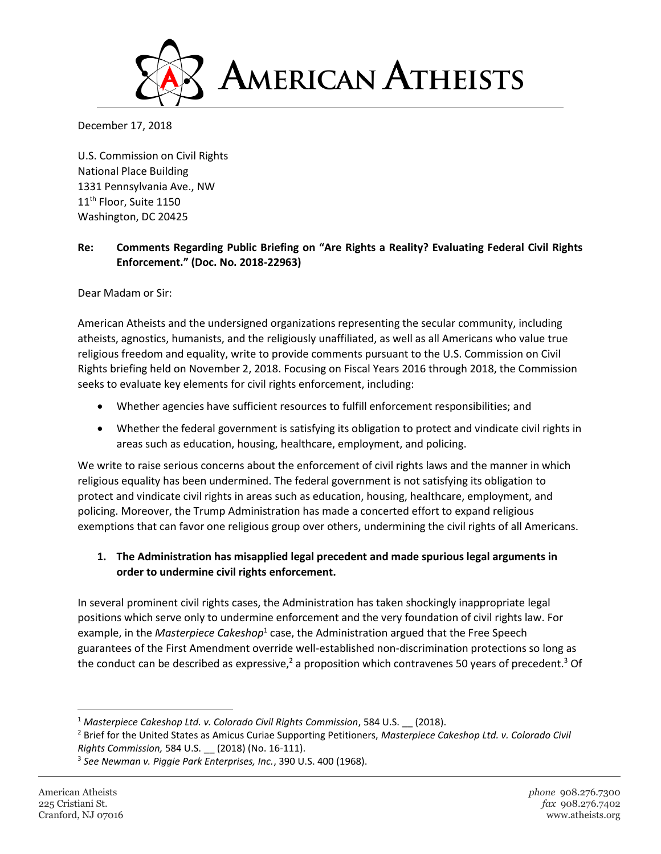

December 17, 2018

U.S. Commission on Civil Rights National Place Building 1331 Pennsylvania Ave., NW 11<sup>th</sup> Floor, Suite 1150 Washington, DC 20425

## **Re: Comments Regarding Public Briefing on "Are Rights a Reality? Evaluating Federal Civil Rights Enforcement." (Doc. No. 2018-22963)**

Dear Madam or Sir:

American Atheists and the undersigned organizations representing the secular community, including atheists, agnostics, humanists, and the religiously unaffiliated, as well as all Americans who value true religious freedom and equality, write to provide comments pursuant to the U.S. Commission on Civil Rights briefing held on November 2, 2018. Focusing on Fiscal Years 2016 through 2018, the Commission seeks to evaluate key elements for civil rights enforcement, including:

- Whether agencies have sufficient resources to fulfill enforcement responsibilities; and
- Whether the federal government is satisfying its obligation to protect and vindicate civil rights in areas such as education, housing, healthcare, employment, and policing.

We write to raise serious concerns about the enforcement of civil rights laws and the manner in which religious equality has been undermined. The federal government is not satisfying its obligation to protect and vindicate civil rights in areas such as education, housing, healthcare, employment, and policing. Moreover, the Trump Administration has made a concerted effort to expand religious exemptions that can favor one religious group over others, undermining the civil rights of all Americans.

## **1. The Administration has misapplied legal precedent and made spurious legal arguments in order to undermine civil rights enforcement.**

In several prominent civil rights cases, the Administration has taken shockingly inappropriate legal positions which serve only to undermine enforcement and the very foundation of civil rights law. For example, in the *Masterpiece Cakeshop*<sup>1</sup> case, the Administration argued that the Free Speech guarantees of the First Amendment override well-established non-discrimination protections so long as the conduct can be described as expressive,<sup>2</sup> a proposition which contravenes 50 years of precedent.<sup>3</sup> Of

 $\overline{\phantom{a}}$ 

<sup>&</sup>lt;sup>1</sup> Masterpiece Cakeshop Ltd. v. Colorado Civil Rights Commission, 584 U.S. \_\_ (2018).

<sup>2</sup> Brief for the United States as Amicus Curiae Supporting Petitioners, *Masterpiece Cakeshop Ltd. v. Colorado Civil Rights Commission,* 584 U.S. \_\_ (2018) (No. 16-111).

<sup>3</sup> *See Newman v. Piggie Park Enterprises, Inc.*, 390 U.S. 400 (1968).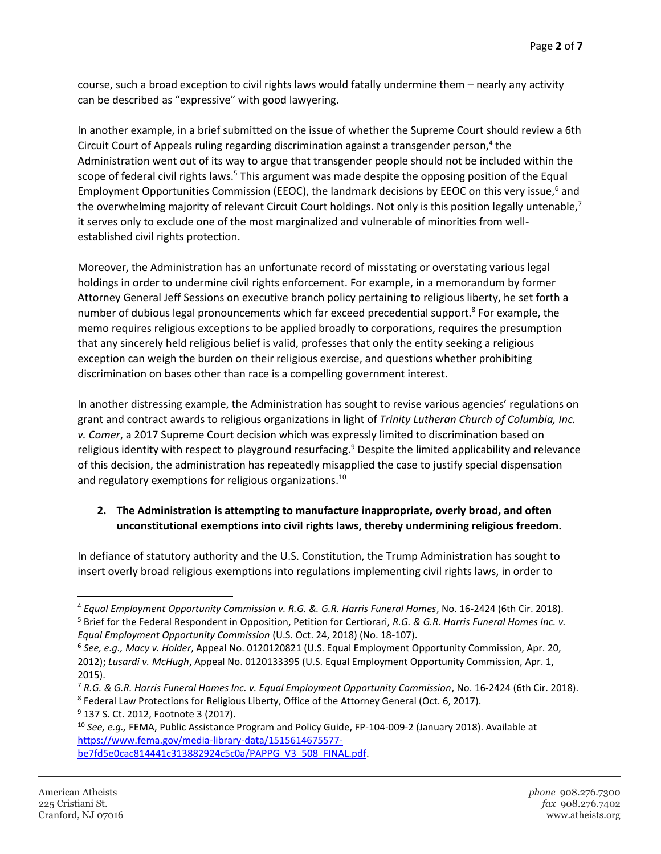course, such a broad exception to civil rights laws would fatally undermine them – nearly any activity can be described as "expressive" with good lawyering.

In another example, in a brief submitted on the issue of whether the Supreme Court should review a 6th Circuit Court of Appeals ruling regarding discrimination against a transgender person,<sup>4</sup> the Administration went out of its way to argue that transgender people should not be included within the scope of federal civil rights laws.<sup>5</sup> This argument was made despite the opposing position of the Equal Employment Opportunities Commission (EEOC), the landmark decisions by EEOC on this very issue, $6$  and the overwhelming majority of relevant Circuit Court holdings. Not only is this position legally untenable,<sup>7</sup> it serves only to exclude one of the most marginalized and vulnerable of minorities from wellestablished civil rights protection.

Moreover, the Administration has an unfortunate record of misstating or overstating various legal holdings in order to undermine civil rights enforcement. For example, in a memorandum by former Attorney General Jeff Sessions on executive branch policy pertaining to religious liberty, he set forth a number of dubious legal pronouncements which far exceed precedential support.<sup>8</sup> For example, the memo requires religious exceptions to be applied broadly to corporations, requires the presumption that any sincerely held religious belief is valid, professes that only the entity seeking a religious exception can weigh the burden on their religious exercise, and questions whether prohibiting discrimination on bases other than race is a compelling government interest.

In another distressing example, the Administration has sought to revise various agencies' regulations on grant and contract awards to religious organizations in light of *Trinity Lutheran Church of Columbia, Inc. v. Comer*, a 2017 Supreme Court decision which was expressly limited to discrimination based on religious identity with respect to playground resurfacing.<sup>9</sup> Despite the limited applicability and relevance of this decision, the administration has repeatedly misapplied the case to justify special dispensation and regulatory exemptions for religious organizations.<sup>10</sup>

## **2. The Administration is attempting to manufacture inappropriate, overly broad, and often unconstitutional exemptions into civil rights laws, thereby undermining religious freedom.**

In defiance of statutory authority and the U.S. Constitution, the Trump Administration has sought to insert overly broad religious exemptions into regulations implementing civil rights laws, in order to

<sup>7</sup> *R.G. & G.R. Harris Funeral Homes Inc. v. Equal Employment Opportunity Commission*, No. 16-2424 (6th Cir. 2018). <sup>8</sup> Federal Law Protections for Religious Liberty, Office of the Attorney General (Oct. 6, 2017).

<sup>4</sup> *Equal Employment Opportunity Commission v. R.G. &. G.R. Harris Funeral Homes*, No. 16-2424 (6th Cir. 2018). <sup>5</sup> Brief for the Federal Respondent in Opposition, Petition for Certiorari, *R.G. & G.R. Harris Funeral Homes Inc. v.* 

*Equal Employment Opportunity Commission* (U.S. Oct. 24, 2018) (No. 18-107).

<sup>6</sup> *See, e.g., Macy v. Holder*, Appeal No. 0120120821 (U.S. Equal Employment Opportunity Commission, Apr. 20, 2012); *Lusardi v. McHugh*, Appeal No. 0120133395 (U.S. Equal Employment Opportunity Commission, Apr. 1, 2015).

<sup>&</sup>lt;sup>9</sup> 137 S. Ct. 2012, Footnote 3 (2017).

<sup>10</sup> *See, e.g.,* FEMA, Public Assistance Program and Policy Guide, FP-104-009-2 (January 2018). Available at [https://www.fema.gov/media-library-data/1515614675577](https://www.fema.gov/media-library-data/1515614675577-be7fd5e0cac814441c313882924c5c0a/PAPPG_V3_508_FINAL.pdf) [be7fd5e0cac814441c313882924c5c0a/PAPPG\\_V3\\_508\\_FINAL.pdf.](https://www.fema.gov/media-library-data/1515614675577-be7fd5e0cac814441c313882924c5c0a/PAPPG_V3_508_FINAL.pdf)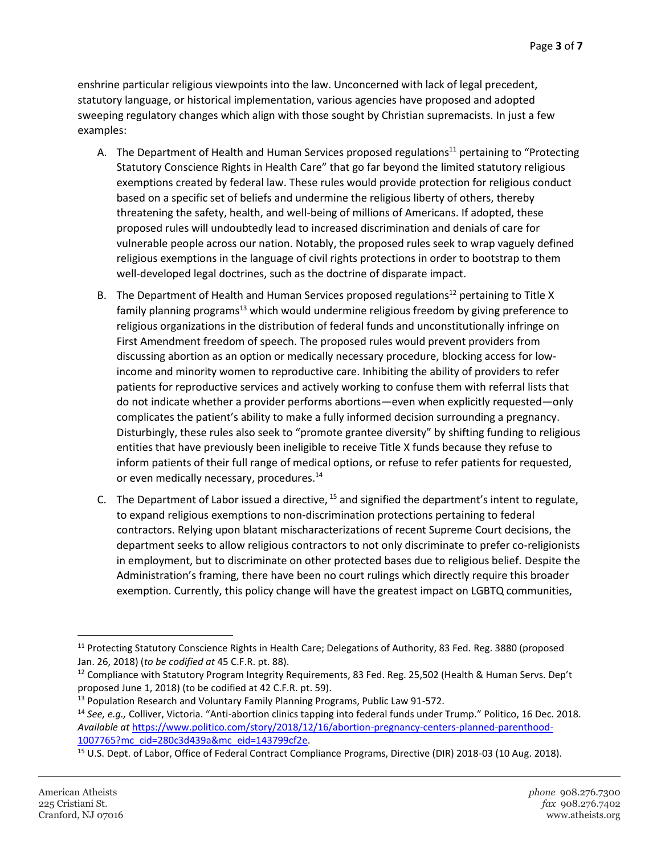enshrine particular religious viewpoints into the law. Unconcerned with lack of legal precedent, statutory language, or historical implementation, various agencies have proposed and adopted sweeping regulatory changes which align with those sought by Christian supremacists. In just a few examples:

- A. The Department of Health and Human Services proposed regulations<sup>11</sup> pertaining to "Protecting" Statutory Conscience Rights in Health Care" that go far beyond the limited statutory religious exemptions created by federal law. These rules would provide protection for religious conduct based on a specific set of beliefs and undermine the religious liberty of others, thereby threatening the safety, health, and well-being of millions of Americans. If adopted, these proposed rules will undoubtedly lead to increased discrimination and denials of care for vulnerable people across our nation. Notably, the proposed rules seek to wrap vaguely defined religious exemptions in the language of civil rights protections in order to bootstrap to them well-developed legal doctrines, such as the doctrine of disparate impact.
- B. The Department of Health and Human Services proposed regulations<sup>12</sup> pertaining to Title X family planning programs<sup>13</sup> which would undermine religious freedom by giving preference to religious organizations in the distribution of federal funds and unconstitutionally infringe on First Amendment freedom of speech. The proposed rules would prevent providers from discussing abortion as an option or medically necessary procedure, blocking access for lowincome and minority women to reproductive care. Inhibiting the ability of providers to refer patients for reproductive services and actively working to confuse them with referral lists that do not indicate whether a provider performs abortions—even when explicitly requested—only complicates the patient's ability to make a fully informed decision surrounding a pregnancy. Disturbingly, these rules also seek to "promote grantee diversity" by shifting funding to religious entities that have previously been ineligible to receive Title X funds because they refuse to inform patients of their full range of medical options, or refuse to refer patients for requested, or even medically necessary, procedures.<sup>14</sup>
- C. The Department of Labor issued a directive,  $15$  and signified the department's intent to regulate, to expand religious exemptions to non-discrimination protections pertaining to federal contractors. Relying upon blatant mischaracterizations of recent Supreme Court decisions, the department seeks to allow religious contractors to not only discriminate to prefer co-religionists in employment, but to discriminate on other protected bases due to religious belief. Despite the Administration's framing, there have been no court rulings which directly require this broader exemption. Currently, this policy change will have the greatest impact on LGBTQ communities,

 $\overline{\phantom{a}}$ 

<sup>&</sup>lt;sup>11</sup> Protecting Statutory Conscience Rights in Health Care; Delegations of Authority, 83 Fed. Reg. 3880 (proposed Jan. 26, 2018) (*to be codified at* 45 C.F.R. pt. 88).

<sup>&</sup>lt;sup>12</sup> Compliance with Statutory Program Integrity Requirements, 83 Fed. Reg. 25,502 (Health & Human Servs. Dep't proposed June 1, 2018) (to be codified at 42 C.F.R. pt. 59).

<sup>&</sup>lt;sup>13</sup> Population Research and Voluntary Family Planning Programs, Public Law 91-572.

<sup>14</sup> *See, e.g.,* Colliver, Victoria. "Anti-abortion clinics tapping into federal funds under Trump." Politico, 16 Dec. 2018. *Available at* [https://www.politico.com/story/2018/12/16/abortion-pregnancy-centers-planned-parenthood-](https://www.politico.com/story/2018/12/16/abortion-pregnancy-centers-planned-parenthood-1007765?mc_cid=280c3d439a&mc_eid=143799cf2e)[1007765?mc\\_cid=280c3d439a&mc\\_eid=143799cf2e.](https://www.politico.com/story/2018/12/16/abortion-pregnancy-centers-planned-parenthood-1007765?mc_cid=280c3d439a&mc_eid=143799cf2e)

<sup>&</sup>lt;sup>15</sup> U.S. Dept. of Labor, Office of Federal Contract Compliance Programs, Directive (DIR) 2018-03 (10 Aug. 2018).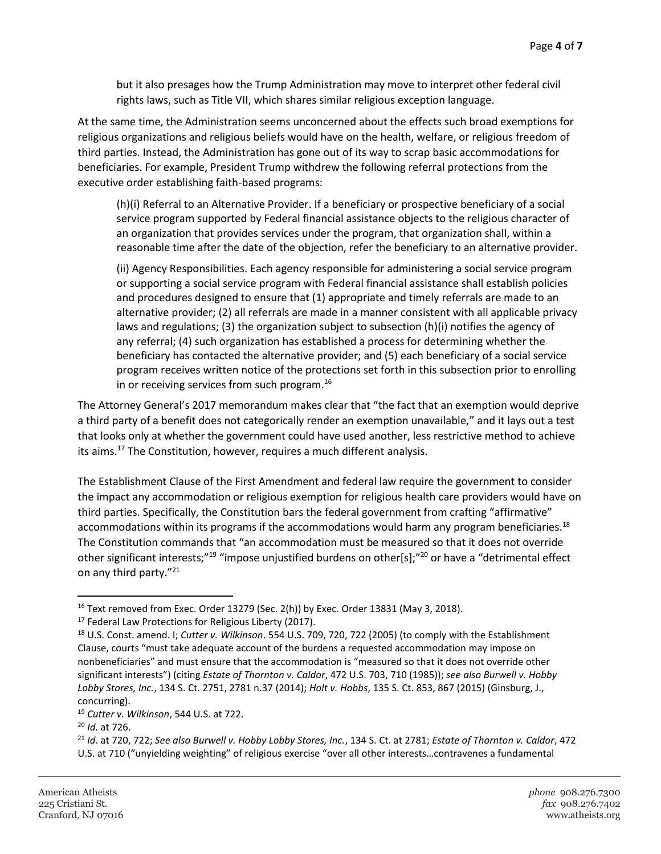but it also presages how the Trump Administration may move to interpret other federal civil rights laws, such as Title VII, which shares similar religious exception language.

At the same time, the Administration seems unconcerned about the effects such broad exemptions for religious organizations and religious beliefs would have on the health, welfare, or religious freedom of third parties. Instead, the Administration has gone out of its way to scrap basic accommodations for beneficiaries. For example, President Trump withdrew the following referral protections from the executive order establishing faith-based programs:

(h)(i) Referral to an Alternative Provider. If a beneficiary or prospective beneficiary of a social service program supported by Federal financial assistance objects to the religious character of an organization that provides services under the program, that organization shall, within a reasonable time after the date of the objection, refer the beneficiary to an alternative provider.

(ii) Agency Responsibilities. Each agency responsible for administering a social service program or supporting a social service program with Federal financial assistance shall establish policies and procedures designed to ensure that (1) appropriate and timely referrals are made to an alternative provider; (2) all referrals are made in a manner consistent with all applicable privacy laws and regulations; (3) the organization subject to subsection (h)(i) notifies the agency of any referral; (4) such organization has established a process for determining whether the beneficiary has contacted the alternative provider; and (5) each beneficiary of a social service program receives written notice of the protections set forth in this subsection prior to enrolling in or receiving services from such program.<sup>16</sup>

The Attorney General's 2017 memorandum makes clear that "the fact that an exemption would deprive a third party of a benefit does not categorically render an exemption unavailable," and it lays out a test that looks only at whether the government could have used another, less restrictive method to achieve its aims.<sup>17</sup> The Constitution, however, requires a much different analysis.

The Establishment Clause of the First Amendment and federal law require the government to consider the impact any accommodation or religious exemption for religious health care providers would have on third parties. Specifically, the Constitution bars the federal government from crafting "affirmative" accommodations within its programs if the accommodations would harm any program beneficiaries.<sup>18</sup> The Constitution commands that "an accommodation must be measured so that it does not override other significant interests;"<sup>19</sup> "impose unjustified burdens on other[s];"<sup>20</sup> or have a "detrimental effect on any third party."<sup>21</sup>

 $16$  Text removed from Exec. Order 13279 (Sec. 2(h)) by Exec. Order 13831 (May 3, 2018).

<sup>&</sup>lt;sup>17</sup> Federal Law Protections for Religious Liberty (2017).

<sup>18</sup> U.S. Const. amend. I; *Cutter v. Wilkinson*. 554 U.S. 709, 720, 722 (2005) (to comply with the Establishment Clause, courts "must take adequate account of the burdens a requested accommodation may impose on nonbeneficiaries" and must ensure that the accommodation is "measured so that it does not override other significant interests") (citing *Estate of Thornton v. Caldor*, 472 U.S. 703, 710 (1985)); *see also Burwell v. Hobby Lobby Stores, Inc.*, 134 S. Ct. 2751, 2781 n.37 (2014); *Holt v. Hobbs*, 135 S. Ct. 853, 867 (2015) (Ginsburg, J., concurring).

<sup>19</sup> *Cutter v. Wilkinson*, 544 U.S. at 722.

<sup>20</sup> *Id.* at 726.

<sup>21</sup> *Id*. at 720, 722; *See also Burwell v. Hobby Lobby Stores, Inc.*, 134 S. Ct. at 2781; *Estate of Thornton v. Caldor*, 472 U.S. at 710 ("unyielding weighting" of religious exercise "over all other interests…contravenes a fundamental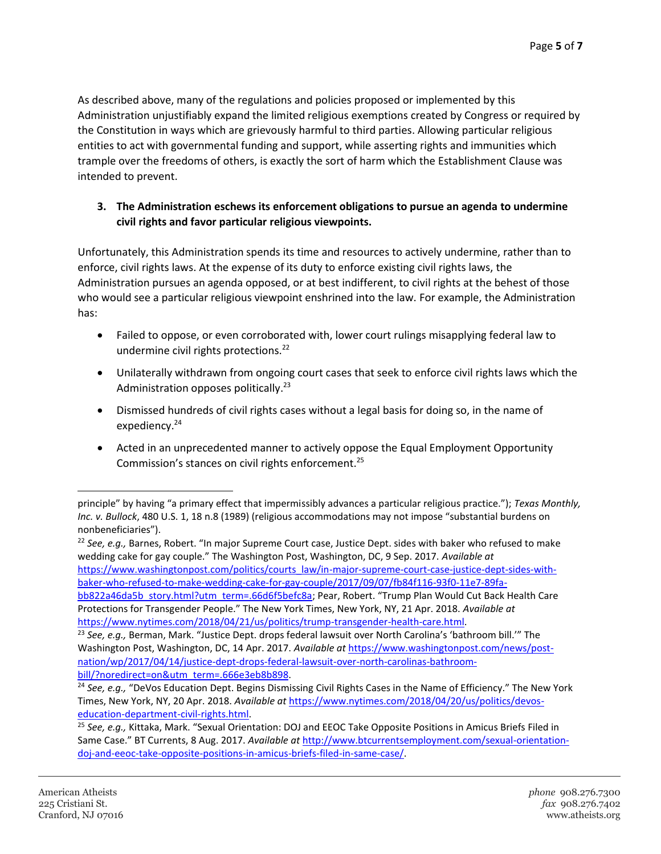As described above, many of the regulations and policies proposed or implemented by this Administration unjustifiably expand the limited religious exemptions created by Congress or required by the Constitution in ways which are grievously harmful to third parties. Allowing particular religious entities to act with governmental funding and support, while asserting rights and immunities which trample over the freedoms of others, is exactly the sort of harm which the Establishment Clause was intended to prevent.

## **3. The Administration eschews its enforcement obligations to pursue an agenda to undermine civil rights and favor particular religious viewpoints.**

Unfortunately, this Administration spends its time and resources to actively undermine, rather than to enforce, civil rights laws. At the expense of its duty to enforce existing civil rights laws, the Administration pursues an agenda opposed, or at best indifferent, to civil rights at the behest of those who would see a particular religious viewpoint enshrined into the law. For example, the Administration has:

- Failed to oppose, or even corroborated with, lower court rulings misapplying federal law to undermine civil rights protections.<sup>22</sup>
- Unilaterally withdrawn from ongoing court cases that seek to enforce civil rights laws which the Administration opposes politically.<sup>23</sup>
- Dismissed hundreds of civil rights cases without a legal basis for doing so, in the name of expediency.<sup>24</sup>
- Acted in an unprecedented manner to actively oppose the Equal Employment Opportunity Commission's stances on civil rights enforcement.<sup>25</sup>

principle" by having "a primary effect that impermissibly advances a particular religious practice."); *Texas Monthly, Inc. v. Bullock*, 480 U.S. 1, 18 n.8 (1989) (religious accommodations may not impose "substantial burdens on nonbeneficiaries").

<sup>22</sup> *See, e.g.,* Barnes, Robert. "In major Supreme Court case, Justice Dept. sides with baker who refused to make wedding cake for gay couple." The Washington Post, Washington, DC, 9 Sep. 2017. *Available at* [https://www.washingtonpost.com/politics/courts\\_law/in-major-supreme-court-case-justice-dept-sides-with](https://www.washingtonpost.com/politics/courts_law/in-major-supreme-court-case-justice-dept-sides-with-baker-who-refused-to-make-wedding-cake-for-gay-couple/2017/09/07/fb84f116-93f0-11e7-89fa-bb822a46da5b_story.html?utm_term=.66d6f5befc8a)[baker-who-refused-to-make-wedding-cake-for-gay-couple/2017/09/07/fb84f116-93f0-11e7-89fa-](https://www.washingtonpost.com/politics/courts_law/in-major-supreme-court-case-justice-dept-sides-with-baker-who-refused-to-make-wedding-cake-for-gay-couple/2017/09/07/fb84f116-93f0-11e7-89fa-bb822a46da5b_story.html?utm_term=.66d6f5befc8a)

[bb822a46da5b\\_story.html?utm\\_term=.66d6f5befc8a](https://www.washingtonpost.com/politics/courts_law/in-major-supreme-court-case-justice-dept-sides-with-baker-who-refused-to-make-wedding-cake-for-gay-couple/2017/09/07/fb84f116-93f0-11e7-89fa-bb822a46da5b_story.html?utm_term=.66d6f5befc8a); Pear, Robert. "Trump Plan Would Cut Back Health Care Protections for Transgender People." The New York Times, New York, NY, 21 Apr. 2018. *Available at* [https://www.nytimes.com/2018/04/21/us/politics/trump-transgender-health-care.html.](https://www.nytimes.com/2018/04/21/us/politics/trump-transgender-health-care.html)

<sup>23</sup> *See, e.g.,* Berman, Mark. "Justice Dept. drops federal lawsuit over North Carolina's 'bathroom bill.'" The Washington Post, Washington, DC, 14 Apr. 2017. *Available at* [https://www.washingtonpost.com/news/post](https://www.washingtonpost.com/news/post-nation/wp/2017/04/14/justice-dept-drops-federal-lawsuit-over-north-carolinas-bathroom-bill/?noredirect=on&utm_term=.666e3eb8b898)[nation/wp/2017/04/14/justice-dept-drops-federal-lawsuit-over-north-carolinas-bathroom](https://www.washingtonpost.com/news/post-nation/wp/2017/04/14/justice-dept-drops-federal-lawsuit-over-north-carolinas-bathroom-bill/?noredirect=on&utm_term=.666e3eb8b898)[bill/?noredirect=on&utm\\_term=.666e3eb8b898.](https://www.washingtonpost.com/news/post-nation/wp/2017/04/14/justice-dept-drops-federal-lawsuit-over-north-carolinas-bathroom-bill/?noredirect=on&utm_term=.666e3eb8b898)

<sup>&</sup>lt;sup>24</sup> See, e.g., "DeVos Education Dept. Begins Dismissing Civil Rights Cases in the Name of Efficiency." The New York Times, New York, NY, 20 Apr. 2018. *Available at* [https://www.nytimes.com/2018/04/20/us/politics/devos](https://www.nytimes.com/2018/04/20/us/politics/devos-education-department-civil-rights.html)[education-department-civil-rights.html.](https://www.nytimes.com/2018/04/20/us/politics/devos-education-department-civil-rights.html)

<sup>25</sup> *See, e.g.,* Kittaka, Mark. "Sexual Orientation: DOJ and EEOC Take Opposite Positions in Amicus Briefs Filed in Same Case." BT Currents, 8 Aug. 2017. *Available at* [http://www.btcurrentsemployment.com/sexual-orientation](http://www.btcurrentsemployment.com/sexual-orientation-doj-and-eeoc-take-opposite-positions-in-amicus-briefs-filed-in-same-case/)[doj-and-eeoc-take-opposite-positions-in-amicus-briefs-filed-in-same-case/.](http://www.btcurrentsemployment.com/sexual-orientation-doj-and-eeoc-take-opposite-positions-in-amicus-briefs-filed-in-same-case/)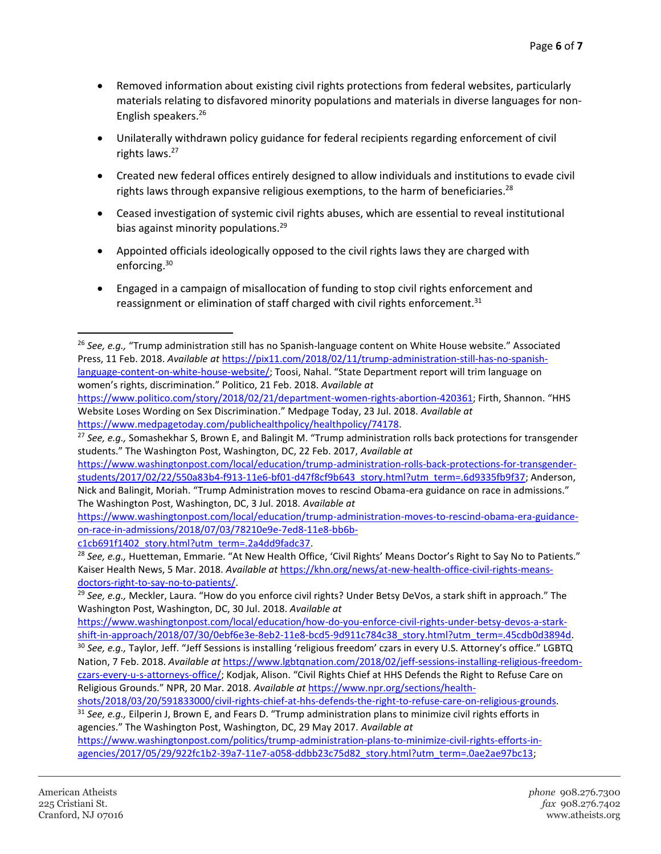- Removed information about existing civil rights protections from federal websites, particularly materials relating to disfavored minority populations and materials in diverse languages for non-English speakers.<sup>26</sup>
- Unilaterally withdrawn policy guidance for federal recipients regarding enforcement of civil rights laws. 27
- Created new federal offices entirely designed to allow individuals and institutions to evade civil rights laws through expansive religious exemptions, to the harm of beneficiaries.<sup>28</sup>
- Ceased investigation of systemic civil rights abuses, which are essential to reveal institutional bias against minority populations.<sup>29</sup>
- Appointed officials ideologically opposed to the civil rights laws they are charged with enforcing.<sup>30</sup>
- Engaged in a campaign of misallocation of funding to stop civil rights enforcement and reassignment or elimination of staff charged with civil rights enforcement. $31$

[https://www.washingtonpost.com/local/education/trump-administration-moves-to-rescind-obama-era-guidance](https://www.washingtonpost.com/local/education/trump-administration-moves-to-rescind-obama-era-guidance-on-race-in-admissions/2018/07/03/78210e9e-7ed8-11e8-bb6b-c1cb691f1402_story.html?utm_term=.2a4dd9fadc37)[on-race-in-admissions/2018/07/03/78210e9e-7ed8-11e8-bb6b](https://www.washingtonpost.com/local/education/trump-administration-moves-to-rescind-obama-era-guidance-on-race-in-admissions/2018/07/03/78210e9e-7ed8-11e8-bb6b-c1cb691f1402_story.html?utm_term=.2a4dd9fadc37)[c1cb691f1402\\_story.html?utm\\_term=.2a4dd9fadc37.](https://www.washingtonpost.com/local/education/trump-administration-moves-to-rescind-obama-era-guidance-on-race-in-admissions/2018/07/03/78210e9e-7ed8-11e8-bb6b-c1cb691f1402_story.html?utm_term=.2a4dd9fadc37)

<sup>26</sup> *See, e.g.,* "Trump administration still has no Spanish-language content on White House website." Associated Press, 11 Feb. 2018. *Available at* [https://pix11.com/2018/02/11/trump-administration-still-has-no-spanish](https://pix11.com/2018/02/11/trump-administration-still-has-no-spanish-language-content-on-white-house-website/)[language-content-on-white-house-website/;](https://pix11.com/2018/02/11/trump-administration-still-has-no-spanish-language-content-on-white-house-website/) Toosi, Nahal. "State Department report will trim language on women's rights, discrimination." Politico, 21 Feb. 2018. *Available at*

[https://www.politico.com/story/2018/02/21/department-women-rights-abortion-420361;](https://www.politico.com/story/2018/02/21/department-women-rights-abortion-420361) Firth, Shannon. "HHS Website Loses Wording on Sex Discrimination." Medpage Today, 23 Jul. 2018. *Available at* [https://www.medpagetoday.com/publichealthpolicy/healthpolicy/74178.](https://www.medpagetoday.com/publichealthpolicy/healthpolicy/74178)

<sup>27</sup> *See, e.g.,* Somashekhar S, Brown E, and Balingit M. "Trump administration rolls back protections for transgender students." The Washington Post, Washington, DC, 22 Feb. 2017, *Available at*

[https://www.washingtonpost.com/local/education/trump-administration-rolls-back-protections-for-transgender](https://www.washingtonpost.com/local/education/trump-administration-rolls-back-protections-for-transgender-students/2017/02/22/550a83b4-f913-11e6-bf01-d47f8cf9b643_story.html?utm_term=.6d9335fb9f37)[students/2017/02/22/550a83b4-f913-11e6-bf01-d47f8cf9b643\\_story.html?utm\\_term=.6d9335fb9f37;](https://www.washingtonpost.com/local/education/trump-administration-rolls-back-protections-for-transgender-students/2017/02/22/550a83b4-f913-11e6-bf01-d47f8cf9b643_story.html?utm_term=.6d9335fb9f37) Anderson, Nick and Balingit, Moriah. "Trump Administration moves to rescind Obama-era guidance on race in admissions." The Washington Post, Washington, DC, 3 Jul. 2018. *Available at*

<sup>&</sup>lt;sup>28</sup> See, e.g., Huetteman, Emmarie. "At New Health Office, 'Civil Rights' Means Doctor's Right to Say No to Patients." Kaiser Health News, 5 Mar. 2018. *Available at* [https://khn.org/news/at-new-health-office-civil-rights-means](https://khn.org/news/at-new-health-office-civil-rights-means-doctors-right-to-say-no-to-patients/)[doctors-right-to-say-no-to-patients/.](https://khn.org/news/at-new-health-office-civil-rights-means-doctors-right-to-say-no-to-patients/) 

<sup>29</sup> *See, e.g.,* Meckler, Laura. "How do you enforce civil rights? Under Betsy DeVos, a stark shift in approach." The Washington Post, Washington, DC, 30 Jul. 2018. *Available at*

[https://www.washingtonpost.com/local/education/how-do-you-enforce-civil-rights-under-betsy-devos-a-stark](https://www.washingtonpost.com/local/education/how-do-you-enforce-civil-rights-under-betsy-devos-a-stark-shift-in-approach/2018/07/30/0ebf6e3e-8eb2-11e8-bcd5-9d911c784c38_story.html?utm_term=.45cdb0d3894d)[shift-in-approach/2018/07/30/0ebf6e3e-8eb2-11e8-bcd5-9d911c784c38\\_story.html?utm\\_term=.45cdb0d3894d.](https://www.washingtonpost.com/local/education/how-do-you-enforce-civil-rights-under-betsy-devos-a-stark-shift-in-approach/2018/07/30/0ebf6e3e-8eb2-11e8-bcd5-9d911c784c38_story.html?utm_term=.45cdb0d3894d) 

<sup>30</sup> *See, e.g.,* Taylor, Jeff. "Jeff Sessions is installing 'religious freedom' czars in every U.S. Attorney's office." LGBTQ Nation, 7 Feb. 2018. *Available at* [https://www.lgbtqnation.com/2018/02/jeff-sessions-installing-religious-freedom](https://www.lgbtqnation.com/2018/02/jeff-sessions-installing-religious-freedom-czars-every-u-s-attorneys-office/)[czars-every-u-s-attorneys-office/;](https://www.lgbtqnation.com/2018/02/jeff-sessions-installing-religious-freedom-czars-every-u-s-attorneys-office/) Kodjak, Alison. "Civil Rights Chief at HHS Defends the Right to Refuse Care on Religious Grounds." NPR, 20 Mar. 2018. *Available at* [https://www.npr.org/sections/health-](https://www.npr.org/sections/health-shots/2018/03/20/591833000/civil-rights-chief-at-hhs-defends-the-right-to-refuse-care-on-religious-grounds)

[shots/2018/03/20/591833000/civil-rights-chief-at-hhs-defends-the-right-to-refuse-care-on-religious-grounds.](https://www.npr.org/sections/health-shots/2018/03/20/591833000/civil-rights-chief-at-hhs-defends-the-right-to-refuse-care-on-religious-grounds)

<sup>31</sup> *See, e.g.,* Eilperin J, Brown E, and Fears D. "Trump administration plans to minimize civil rights efforts in agencies." The Washington Post, Washington, DC, 29 May 2017. *Available at*

[https://www.washingtonpost.com/politics/trump-administration-plans-to-minimize-civil-rights-efforts-in](https://www.washingtonpost.com/politics/trump-administration-plans-to-minimize-civil-rights-efforts-in-agencies/2017/05/29/922fc1b2-39a7-11e7-a058-ddbb23c75d82_story.html?utm_term=.0ae2ae97bc13)[agencies/2017/05/29/922fc1b2-39a7-11e7-a058-ddbb23c75d82\\_story.html?utm\\_term=.0ae2ae97bc13;](https://www.washingtonpost.com/politics/trump-administration-plans-to-minimize-civil-rights-efforts-in-agencies/2017/05/29/922fc1b2-39a7-11e7-a058-ddbb23c75d82_story.html?utm_term=.0ae2ae97bc13)